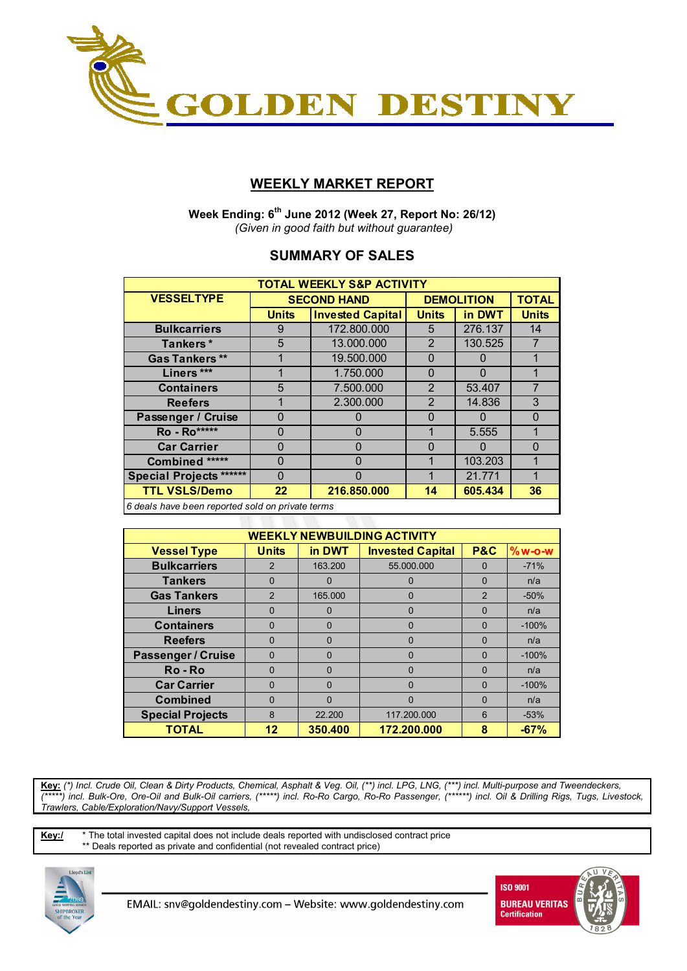

## **WEEKLY MARKET REPORT**

 **Week Ending: 6th June 2012 (Week 27, Report No: 26/12)**   *(Given in good faith but without guarantee)* 

## **SUMMARY OF SALES**

| <b>TOTAL WEEKLY S&amp;P ACTIVITY</b>                    |              |                         |                |                   |              |  |  |  |  |
|---------------------------------------------------------|--------------|-------------------------|----------------|-------------------|--------------|--|--|--|--|
| <b>VESSELTYPE</b>                                       |              | <b>SECOND HAND</b>      |                | <b>DEMOLITION</b> | <b>TOTAL</b> |  |  |  |  |
|                                                         | <b>Units</b> | <b>Invested Capital</b> | <b>Units</b>   | in DWT            | <b>Units</b> |  |  |  |  |
| <b>Bulkcarriers</b>                                     | 9            | 172.800.000             | 5              | 276.137           | 14           |  |  |  |  |
| Tankers*                                                | 5            | 13.000.000              | 2              | 130.525           | 7            |  |  |  |  |
| <b>Gas Tankers **</b>                                   |              | 19.500.000              | $\Omega$       | 0                 |              |  |  |  |  |
| Liners ***                                              |              | 1.750.000               | $\Omega$       | 0                 |              |  |  |  |  |
| <b>Containers</b>                                       | 5            | 7.500.000               | $\mathcal{P}$  | 53.407            | 7            |  |  |  |  |
| <b>Reefers</b>                                          |              | 2.300.000               | $\overline{2}$ | 14.836            | 3            |  |  |  |  |
| Passenger / Cruise                                      | 0            | O                       | $\Omega$       | 0                 | $\Omega$     |  |  |  |  |
| <b>Ro</b> - Ro*****                                     | 0            | 0                       |                | 5.555             | 1            |  |  |  |  |
| <b>Car Carrier</b>                                      | 0            | 0                       | $\Omega$       | $\Omega$          | $\Omega$     |  |  |  |  |
| Combined *****                                          | 0            | $\Omega$                |                | 103.203           |              |  |  |  |  |
| <b>Special Projects ******</b>                          | 0            | $\Omega$                |                | 21.771            | 1            |  |  |  |  |
| <b>TTL VSLS/Demo</b>                                    | 22           | 216.850.000             | 14             | 605.434           | 36           |  |  |  |  |
| <u>Calcela bous boon reported sold on private terms</u> |              |                         |                |                   |              |  |  |  |  |

*6 deals have been reported sold on private terms*

| <b>WEEKLY NEWBUILDING ACTIVITY</b> |               |          |                         |                |          |  |  |  |  |
|------------------------------------|---------------|----------|-------------------------|----------------|----------|--|--|--|--|
| <b>Vessel Type</b>                 | <b>Units</b>  | in DWT   | <b>Invested Capital</b> | <b>P&amp;C</b> | $%w-O-W$ |  |  |  |  |
| <b>Bulkcarriers</b>                | 2             | 163.200  | 55.000.000              | $\Omega$       | $-71%$   |  |  |  |  |
| <b>Tankers</b>                     | $\Omega$      | 0        |                         | $\Omega$       | n/a      |  |  |  |  |
| <b>Gas Tankers</b>                 | $\mathcal{P}$ | 165.000  | 0                       | $\overline{2}$ | $-50%$   |  |  |  |  |
| <b>Liners</b>                      | $\Omega$      | 0        | 0                       | $\Omega$       | n/a      |  |  |  |  |
| <b>Containers</b>                  | $\Omega$      | 0        | O                       | $\Omega$       | $-100%$  |  |  |  |  |
| <b>Reefers</b>                     | $\Omega$      | 0        | 0                       | $\Omega$       | n/a      |  |  |  |  |
| <b>Passenger / Cruise</b>          | $\Omega$      | $\Omega$ | 0                       | $\Omega$       | $-100%$  |  |  |  |  |
| Ro-Ro                              | $\Omega$      | 0        | 0                       | $\Omega$       | n/a      |  |  |  |  |
| <b>Car Carrier</b>                 | $\Omega$      | $\Omega$ | 0                       | $\Omega$       | $-100%$  |  |  |  |  |
| <b>Combined</b>                    | O             | 0        | 0                       | $\Omega$       | n/a      |  |  |  |  |
| <b>Special Projects</b>            | 8             | 22.200   | 117.200.000             | 6              | $-53%$   |  |  |  |  |
| <b>TOTAL</b>                       | 12            | 350,400  | 172.200.000             | 8              | $-67%$   |  |  |  |  |

**Key:** *(\*) Incl. Crude Oil, Clean & Dirty Products, Chemical, Asphalt & Veg. Oil, (\*\*) incl. LPG, LNG, (\*\*\*) incl. Multi-purpose and Tweendeckers, (\*\*\*\*\*) incl. Bulk-Ore, Ore-Oil and Bulk-Oil carriers, (\*\*\*\*\*) incl. Ro-Ro Cargo, Ro-Ro Passenger, (\*\*\*\*\*\*) incl. Oil & Drilling Rigs, Tugs, Livestock, Trawlers, Cable/Exploration/Navy/Support Vessels,* 

**Key:/** \* The total invested capital does not include deals reported with undisclosed contract price \*\* Deals reported as private and confidential (not revealed contract price)



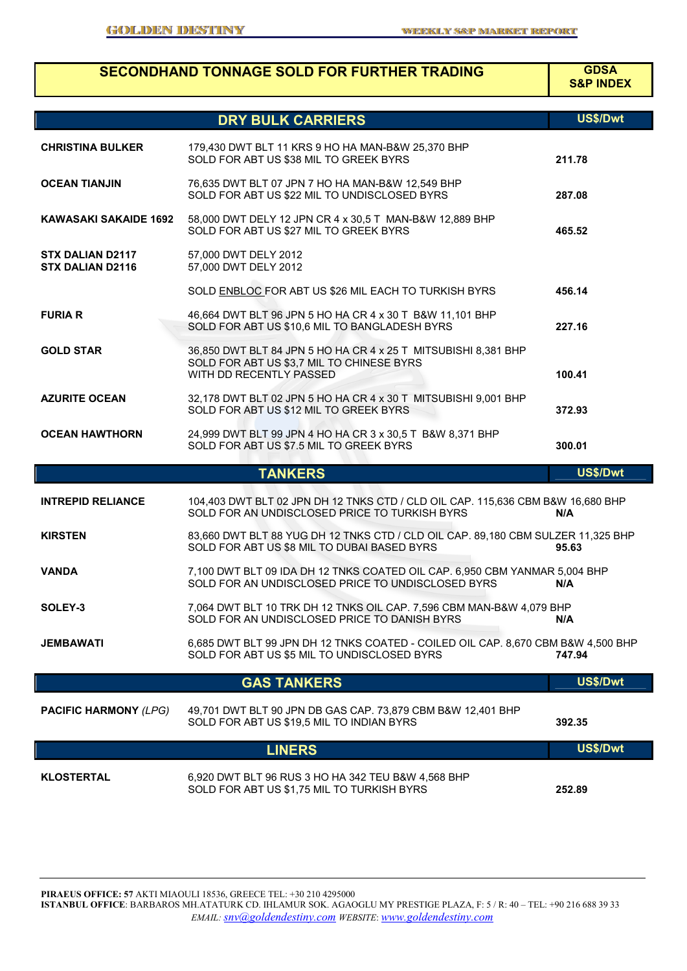# **SECONDHAND TONNAGE SOLD FOR FURTHER TRADING GDSA**

**S&P INDEX**

|                                                    |                                                                                                                                        | US\$/Dwt |
|----------------------------------------------------|----------------------------------------------------------------------------------------------------------------------------------------|----------|
|                                                    | <b>DRY BULK CARRIERS</b>                                                                                                               |          |
| <b>CHRISTINA BULKER</b>                            | 179,430 DWT BLT 11 KRS 9 HO HA MAN-B&W 25,370 BHP<br>SOLD FOR ABT US \$38 MIL TO GREEK BYRS                                            | 211.78   |
| <b>OCEAN TIANJIN</b>                               | 76,635 DWT BLT 07 JPN 7 HO HA MAN-B&W 12,549 BHP<br>SOLD FOR ABT US \$22 MIL TO UNDISCLOSED BYRS                                       | 287.08   |
| <b>KAWASAKI SAKAIDE 1692</b>                       | 58,000 DWT DELY 12 JPN CR 4 x 30,5 T MAN-B&W 12,889 BHP<br>SOLD FOR ABT US \$27 MIL TO GREEK BYRS                                      | 465.52   |
| <b>STX DALIAN D2117</b><br><b>STX DALIAN D2116</b> | 57,000 DWT DELY 2012<br>57,000 DWT DELY 2012                                                                                           |          |
|                                                    | SOLD ENBLOC FOR ABT US \$26 MIL EACH TO TURKISH BYRS                                                                                   | 456.14   |
| <b>FURIA R</b>                                     | 46,664 DWT BLT 96 JPN 5 HO HA CR 4 x 30 T B&W 11,101 BHP<br>SOLD FOR ABT US \$10,6 MIL TO BANGLADESH BYRS                              | 227.16   |
| <b>GOLD STAR</b>                                   | 36,850 DWT BLT 84 JPN 5 HO HA CR 4 x 25 T MITSUBISHI 8,381 BHP<br>SOLD FOR ABT US \$3,7 MIL TO CHINESE BYRS<br>WITH DD RECENTLY PASSED | 100.41   |
| <b>AZURITE OCEAN</b>                               | 32,178 DWT BLT 02 JPN 5 HO HA CR 4 x 30 T MITSUBISHI 9,001 BHP<br>SOLD FOR ABT US \$12 MIL TO GREEK BYRS                               | 372.93   |
| <b>OCEAN HAWTHORN</b>                              | 24,999 DWT BLT 99 JPN 4 HO HA CR 3 x 30,5 T B&W 8,371 BHP<br>SOLD FOR ABT US \$7.5 MIL TO GREEK BYRS                                   | 300.01   |
|                                                    | <b>TANKERS</b>                                                                                                                         | US\$/Dwt |
| <b>INTREPID RELIANCE</b>                           | 104,403 DWT BLT 02 JPN DH 12 TNKS CTD / CLD OIL CAP. 115,636 CBM B&W 16,680 BHP<br>SOLD FOR AN UNDISCLOSED PRICE TO TURKISH BYRS       | N/A      |
| <b>KIRSTEN</b>                                     | 83,660 DWT BLT 88 YUG DH 12 TNKS CTD / CLD OIL CAP. 89,180 CBM SULZER 11,325 BHP<br>SOLD FOR ABT US \$8 MIL TO DUBAI BASED BYRS        | 95.63    |
| <b>VANDA</b>                                       | 7,100 DWT BLT 09 IDA DH 12 TNKS COATED OIL CAP. 6,950 CBM YANMAR 5,004 BHP<br>SOLD FOR AN UNDISCLOSED PRICE TO UNDISCLOSED BYRS        | N/A      |
| SOLEY-3                                            | 7,064 DWT BLT 10 TRK DH 12 TNKS OIL CAP. 7,596 CBM MAN-B&W 4,079 BHP<br>SOLD FOR AN UNDISCLOSED PRICE TO DANISH BYRS                   | N/A      |
| JEMBAWATI                                          | 6,685 DWT BLT 99 JPN DH 12 TNKS COATED - COILED OIL CAP. 8,670 CBM B&W 4,500 BHP<br>SOLD FOR ABT US \$5 MIL TO UNDISCLOSED BYRS        | 747.94   |
|                                                    | <b>GAS TANKERS</b>                                                                                                                     | US\$/Dwt |
| <b>PACIFIC HARMONY (LPG)</b>                       | 49,701 DWT BLT 90 JPN DB GAS CAP. 73,879 CBM B&W 12,401 BHP<br>SOLD FOR ABT US \$19,5 MIL TO INDIAN BYRS                               | 392.35   |
|                                                    | <b>LINERS</b>                                                                                                                          | US\$/Dwt |
| <b>KLOSTERTAL</b>                                  | 6,920 DWT BLT 96 RUS 3 HO HA 342 TEU B&W 4,568 BHP<br>SOLD FOR ABT US \$1,75 MIL TO TURKISH BYRS                                       | 252.89   |

**PIRAEUS OFFICE: 57** AKTI MIAOULI 18536, GREECE TEL: +30 210 4295000 **ISTANBUL OFFICE**: BARBAROS MH.ATATURK CD. IHLAMUR SOK. AGAOGLU MY PRESTIGE PLAZA, F: 5 / R: 40 – TEL: +90 216 688 39 33 *EMAIL: snv@goldendestiny.com WEBSITE*: *www.goldendestiny.com*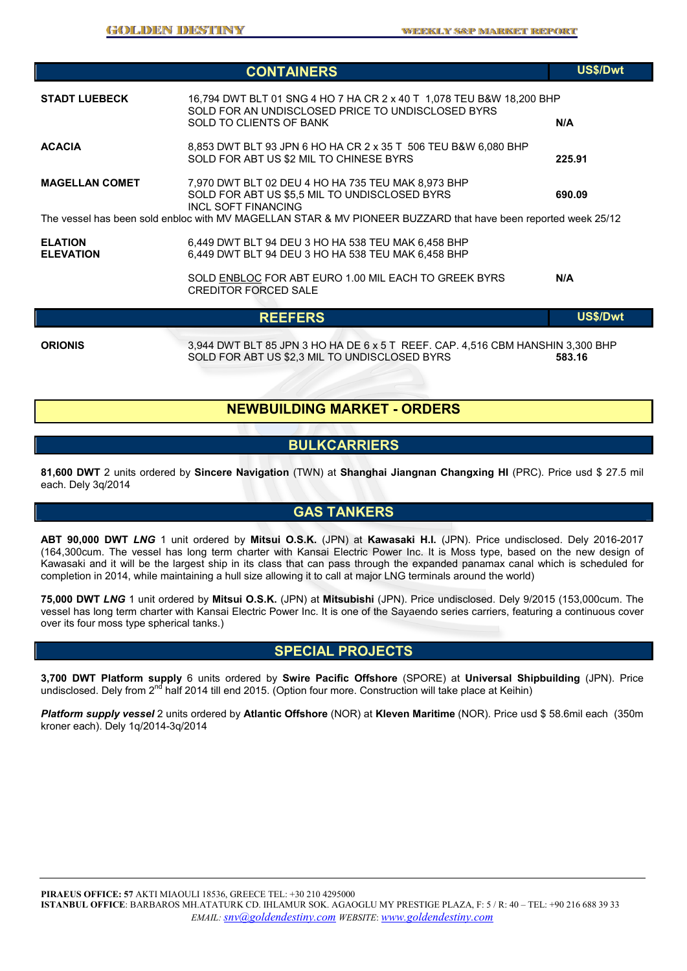|                                    | <b>CONTAINERS</b>                                                                                                                                                                                                                                  | US\$/Dwt        |
|------------------------------------|----------------------------------------------------------------------------------------------------------------------------------------------------------------------------------------------------------------------------------------------------|-----------------|
| <b>STADT LUEBECK</b>               | 16,794 DWT BLT 01 SNG 4 HO 7 HA CR 2 x 40 T 1,078 TEU B&W 18,200 BHP<br>SOLD FOR AN UNDISCLOSED PRICE TO UNDISCLOSED BYRS<br>SOLD TO CLIENTS OF BANK                                                                                               | N/A             |
| <b>ACACIA</b>                      | 8,853 DWT BLT 93 JPN 6 HO HA CR 2 x 35 T 506 TEU B&W 6,080 BHP<br>SOLD FOR ABT US \$2 MIL TO CHINESE BYRS                                                                                                                                          | 225.91          |
| <b>MAGELLAN COMET</b>              | 7,970 DWT BLT 02 DEU 4 HO HA 735 TEU MAK 8,973 BHP<br>SOLD FOR ABT US \$5.5 MIL TO UNDISCLOSED BYRS<br><b>INCL SOFT FINANCING</b><br>The vessel has been sold enbloc with MV MAGELLAN STAR & MV PIONEER BUZZARD that have been reported week 25/12 | 690.09          |
| <b>ELATION</b><br><b>ELEVATION</b> | 6,449 DWT BLT 94 DEU 3 HO HA 538 TEU MAK 6,458 BHP<br>6,449 DWT BLT 94 DEU 3 HO HA 538 TEU MAK 6,458 BHP                                                                                                                                           |                 |
|                                    | SOLD ENBLOC FOR ABT EURO 1.00 MIL EACH TO GREEK BYRS<br><b>CREDITOR FORCED SALE</b>                                                                                                                                                                | N/A             |
|                                    | <b>REEFERS</b>                                                                                                                                                                                                                                     | <b>US\$/Dwt</b> |

**ORIONIS** 3,944 DWT BLT 85 JPN 3 HO HA DE 6 x 5 T REEF. CAP. 4,516 CBM HANSHIN 3,300 BHP SOLD FOR ABT US \$2,3 MIL TO UNDISCLOSED BYRS **583.16** 

### **NEWBUILDING MARKET - ORDERS**

#### **BULKCARRIERS**

**81,600 DWT** 2 units ordered by **Sincere Navigation** (TWN) at **Shanghai Jiangnan Changxing HI** (PRC). Price usd \$ 27.5 mil each. Dely 3q/2014

### **GAS TANKERS**

**ABT 90,000 DWT** *LNG* 1 unit ordered by **Mitsui O.S.K.** (JPN) at **Kawasaki H.I.** (JPN). Price undisclosed. Dely 2016-2017 (164,300cum. The vessel has long term charter with Kansai Electric Power Inc. It is Moss type, based on the new design of Kawasaki and it will be the largest ship in its class that can pass through the expanded panamax canal which is scheduled for completion in 2014, while maintaining a hull size allowing it to call at major LNG terminals around the world)

**75,000 DWT** *LNG* 1 unit ordered by **Mitsui O.S.K.** (JPN) at **Mitsubishi** (JPN). Price undisclosed. Dely 9/2015 (153,000cum. The vessel has long term charter with Kansai Electric Power Inc. It is one of the Sayaendo series carriers, featuring a continuous cover over its four moss type spherical tanks.)

### **SPECIAL PROJECTS**

**3,700 DWT Platform supply** 6 units ordered by **Swire Pacific Offshore** (SPORE) at **Universal Shipbuilding** (JPN). Price undisclosed. Dely from 2<sup>nd</sup> half 2014 till end 2015. (Option four more. Construction will take place at Keihin)

*Platform supply vessel* 2 units ordered by **Atlantic Offshore** (NOR) at **Kleven Maritime** (NOR). Price usd \$ 58.6mil each (350m kroner each). Dely 1q/2014-3q/2014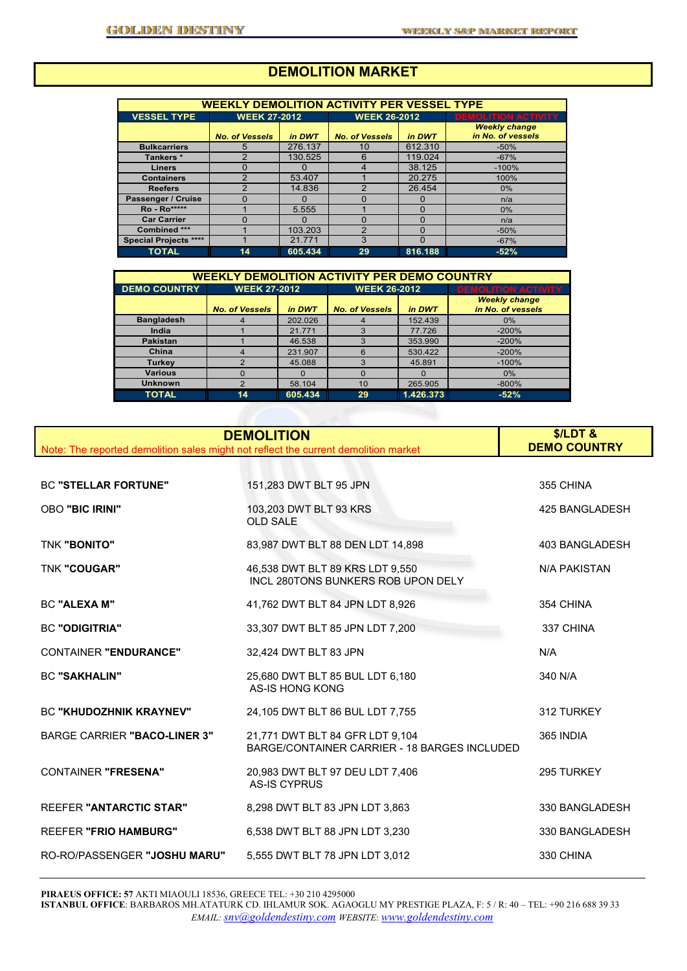# **DEMOLITION MARKET**

| <b>WEEKLY DEMOLITION ACTIVITY PER VESSEL TYPE</b> |                       |              |                       |          |                                           |  |  |  |  |
|---------------------------------------------------|-----------------------|--------------|-----------------------|----------|-------------------------------------------|--|--|--|--|
| <b>VESSEL TYPE</b>                                | <b>WEEK 27-2012</b>   |              | <b>WEEK 26-2012</b>   |          | <b>DEMOLITION ACTIVITY</b>                |  |  |  |  |
|                                                   | <b>No. of Vessels</b> | in DWT       | <b>No. of Vessels</b> | in DWT   | <b>Weekly change</b><br>in No. of vessels |  |  |  |  |
| <b>Bulkcarriers</b>                               | 5                     | 276.137      | 10                    | 612.310  | $-50%$                                    |  |  |  |  |
| Tankers*                                          | 2                     | 130.525      | 6                     | 119.024  | $-67%$                                    |  |  |  |  |
| <b>Liners</b>                                     | O                     |              | 4                     | 38.125   | $-100%$                                   |  |  |  |  |
| <b>Containers</b>                                 | 2                     | 53.407       |                       | 20.275   | 100%                                      |  |  |  |  |
| <b>Reefers</b>                                    | າ                     | 14.836       | ົ                     | 26.454   | $0\%$                                     |  |  |  |  |
| Passenger / Cruise                                | Ω                     | $\mathbf{I}$ | O                     | $\Omega$ | n/a                                       |  |  |  |  |
| <b>Ro</b> - Ro*****                               |                       | 5.555        |                       | 0        | $0\%$                                     |  |  |  |  |
| <b>Car Carrier</b>                                | 0                     | 0            | O                     | 0        | n/a                                       |  |  |  |  |
| Combined ***                                      |                       | 103.203      | 2                     | O        | $-50%$                                    |  |  |  |  |
| <b>Special Projects ****</b>                      |                       | 21.771       | 3                     | $\Omega$ | $-67%$                                    |  |  |  |  |
| <b>TOTAL</b>                                      | 14                    | 605.434      | 29                    | 816.188  | $-52%$                                    |  |  |  |  |

| <b>WEEKLY DEMOLITION ACTIVITY PER DEMO COUNTRY</b> |                                 |         |                       |           |                                           |  |  |  |  |
|----------------------------------------------------|---------------------------------|---------|-----------------------|-----------|-------------------------------------------|--|--|--|--|
| <b>DEMO COUNTRY</b>                                | <b>WEEK 27-2012</b>             |         | <b>WEEK 26-2012</b>   |           | <b>DEMOLITION ACTIVITY</b>                |  |  |  |  |
|                                                    | <b>No. of Vessels</b><br>in DWT |         | <b>No. of Vessels</b> | in DWT    | <b>Weekly change</b><br>in No. of vessels |  |  |  |  |
| <b>Bangladesh</b>                                  |                                 | 202.026 |                       | 152.439   | $0\%$                                     |  |  |  |  |
| India                                              |                                 | 21.771  | 3                     | 77.726    | $-200%$                                   |  |  |  |  |
| <b>Pakistan</b>                                    |                                 | 46.538  |                       | 353.990   | $-200%$                                   |  |  |  |  |
| China                                              |                                 | 231.907 | 6                     | 530.422   | $-200%$                                   |  |  |  |  |
| Turkey                                             |                                 | 45.088  | 3                     | 45.891    | $-100%$                                   |  |  |  |  |
| <b>Various</b>                                     | n                               |         | O                     | O         | 0%                                        |  |  |  |  |
| <b>Unknown</b>                                     | 2                               | 58.104  | 10                    | 265.905   | $-800%$                                   |  |  |  |  |
| <b>TOTAL</b>                                       | 14                              | 605.434 | 29                    | 1.426.373 | $-52%$                                    |  |  |  |  |

| Note: The reported demolition sales might not reflect the current demolition market | <b>DEMOLITION</b>                                                               | \$/LDT&<br><b>DEMO COUNTRY</b> |
|-------------------------------------------------------------------------------------|---------------------------------------------------------------------------------|--------------------------------|
|                                                                                     |                                                                                 |                                |
| <b>BC "STELLAR FORTUNE"</b>                                                         | 151,283 DWT BLT 95 JPN                                                          | 355 CHINA                      |
| <b>OBO "BIC IRINI"</b>                                                              | 103,203 DWT BLT 93 KRS<br><b>OLD SALE</b>                                       | 425 BANGLADESH                 |
| <b>TNK "BONITO"</b>                                                                 | 83,987 DWT BLT 88 DEN LDT 14,898                                                | 403 BANGLADESH                 |
| <b>TNK "COUGAR"</b>                                                                 | 46,538 DWT BLT 89 KRS LDT 9,550<br>INCL 280TONS BUNKERS ROB UPON DELY           | <b>N/A PAKISTAN</b>            |
| <b>BC "ALEXA M"</b>                                                                 | 41,762 DWT BLT 84 JPN LDT 8,926                                                 | 354 CHINA                      |
| <b>BC "ODIGITRIA"</b>                                                               | 33,307 DWT BLT 85 JPN LDT 7,200                                                 | 337 CHINA                      |
| <b>CONTAINER "ENDURANCE"</b>                                                        | 32,424 DWT BLT 83 JPN                                                           | N/A                            |
| <b>BC "SAKHALIN"</b>                                                                | 25,680 DWT BLT 85 BUL LDT 6,180<br><b>AS-IS HONG KONG</b>                       | 340 N/A                        |
| <b>BC "KHUDOZHNIK KRAYNEV"</b>                                                      | 24,105 DWT BLT 86 BUL LDT 7,755                                                 | 312 TURKEY                     |
| <b>BARGE CARRIER "BACO-LINER 3"</b>                                                 | 21,771 DWT BLT 84 GFR LDT 9,104<br>BARGE/CONTAINER CARRIER - 18 BARGES INCLUDED | 365 INDIA                      |
| <b>CONTAINER "FRESENA"</b>                                                          | 20,983 DWT BLT 97 DEU LDT 7,406<br><b>AS-IS CYPRUS</b>                          | 295 TURKEY                     |
| <b>REEFER "ANTARCTIC STAR"</b>                                                      | 8,298 DWT BLT 83 JPN LDT 3,863                                                  | 330 BANGLADESH                 |
| <b>REEFER "FRIO HAMBURG"</b>                                                        | 6,538 DWT BLT 88 JPN LDT 3,230                                                  | 330 BANGLADESH                 |
| RO-RO/PASSENGER "JOSHU MARU"                                                        | 5,555 DWT BLT 78 JPN LDT 3,012                                                  | 330 CHINA                      |

**PIRAEUS OFFICE: 57** AKTI MIAOULI 18536, GREECE TEL: +30 210 4295000

**ISTANBUL OFFICE**: BARBAROS MH.ATATURK CD. IHLAMUR SOK. AGAOGLU MY PRESTIGE PLAZA, F: 5 / R: 40 – TEL: +90 216 688 39 33 *EMAIL: snv@goldendestiny.com WEBSITE*: *www.goldendestiny.com*